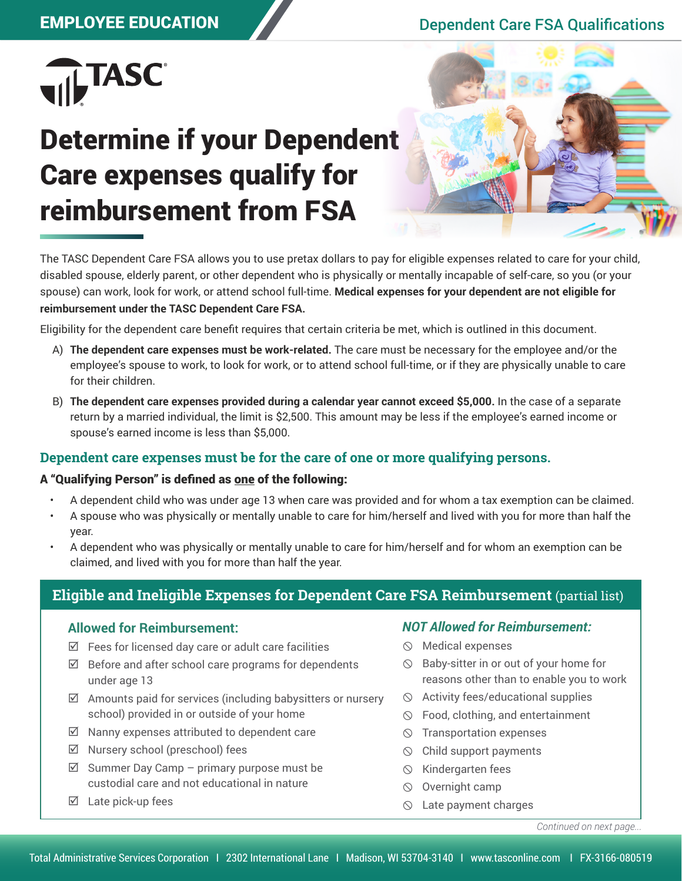## EMPLOYEE EDUCATION Dependent Care FSA Qualifications



# Determine if your Dependent Care expenses qualify for reimbursement from FSA



The TASC Dependent Care FSA allows you to use pretax dollars to pay for eligible expenses related to care for your child, disabled spouse, elderly parent, or other dependent who is physically or mentally incapable of self-care, so you (or your spouse) can work, look for work, or attend school full-time. **Medical expenses for your dependent are not eligible for reimbursement under the TASC Dependent Care FSA.**

Eligibility for the dependent care benefit requires that certain criteria be met, which is outlined in this document.

- A) **The dependent care expenses must be work-related.** The care must be necessary for the employee and/or the employee's spouse to work, to look for work, or to attend school full-time, or if they are physically unable to care for their children.
- B) **The dependent care expenses provided during a calendar year cannot exceed \$5,000.** In the case of a separate return by a married individual, the limit is \$2,500. This amount may be less if the employee's earned income or spouse's earned income is less than \$5,000.

### **Dependent care expenses must be for the care of one or more qualifying persons.**

#### A "Qualifying Person" is defined as one of the following:

- A dependent child who was under age 13 when care was provided and for whom a tax exemption can be claimed.
- A spouse who was physically or mentally unable to care for him/herself and lived with you for more than half the year.
- A dependent who was physically or mentally unable to care for him/herself and for whom an exemption can be claimed, and lived with you for more than half the year.

## **Eligible and Ineligible Expenses for Dependent Care FSA Reimbursement** (partial list)

#### **Allowed for Reimbursement:**

- $\boxtimes$  Fees for licensed day care or adult care facilities
- $\boxtimes$  Before and after school care programs for dependents under age 13
- $\boxtimes$  Amounts paid for services (including babysitters or nursery school) provided in or outside of your home
- $\boxtimes$  Nanny expenses attributed to dependent care
- $\boxtimes$  Nursery school (preschool) fees
- $\boxtimes$  Summer Day Camp primary purpose must be custodial care and not educational in nature
- $\boxtimes$  Late pick-up fees

#### *NOT Allowed for Reimbursement:*

- $\circledcirc$  Medical expenses
- $\circledcirc$  Baby-sitter in or out of your home for reasons other than to enable you to work
- $\Diamond$  Activity fees/educational supplies
- Food, clothing, and entertainment
- $\circledcirc$  Transportation expenses
- $\circledcirc$  Child support payments
- $\circledcirc$  Kindergarten fees
- $\circledcirc$  Overnight camp
- $\circledcirc$  Late payment charges

*Continued on next page...*